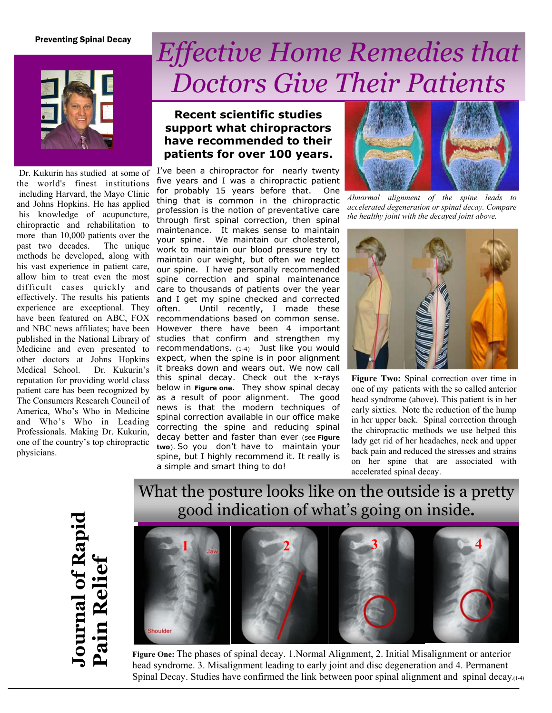### Preventing Spinal Decay



the world's finest institutions including Harvard, the Mayo Clinic and Johns Hopkins. He has applied his knowledge of acupuncture, chiropractic and rehabilitation to more than 10,000 patients over the past two decades. The unique methods he developed, along with his vast experience in patient care, allow him to treat even the most difficult cases quickly and effectively. The results his patients experience are exceptional. They have been featured on ABC, FOX and NBC news affiliates; have been published in the National Library of Medicine and even presented to other doctors at Johns Hopkins Medical School. Dr. Kukurin's reputation for providing world class patient care has been recognized by The Consumers Research Council of America, Who's Who in Medicine and Who's Who in Leading Professionals. Making Dr. Kukurin, one of the country's top chiropractic physicians.

# *Effective Home Remedies that Doctors Give Their Patients*

## **Recent scientific studies support what chiropractors have recommended to their patients for over 100 years.**

Dr. Kukurin has studied at some of I've been a chiropractor for nearly twenty five years and I was a chiropractic patient for probably 15 years before that. One thing that is common in the chiropractic profession is the notion of preventative care through first spinal correction, then spinal maintenance. It makes sense to maintain your spine. We maintain our cholesterol, work to maintain our blood pressure try to maintain our weight, but often we neglect our spine. I have personally recommended spine correction and spinal maintenance care to thousands of patients over the year and I get my spine checked and corrected often. Until recently, I made these recommendations based on common sense. However there have been 4 important studies that confirm and strengthen my recommendations. (1-4) Just like you would expect, when the spine is in poor alignment it breaks down and wears out. We now call this spinal decay. Check out the x-rays below in **Figure one**. They show spinal decay as a result of poor alignment. The good news is that the modern techniques of spinal correction available in our office make correcting the spine and reducing spinal decay better and faster than ever (see **Figure two**). So you don't have to maintain your spine, but I highly recommend it. It really is a simple and smart thing to do!



*Abnormal alignment of the spine leads to accelerated degeneration or spinal decay. Compare the healthy joint with the decayed joint above.* 



**Figure Two:** Spinal correction over time in one of my patients with the so called anterior head syndrome (above). This patient is in her early sixties. Note the reduction of the hump in her upper back. Spinal correction through the chiropractic methods we use helped this lady get rid of her headaches, neck and upper back pain and reduced the stresses and strains on her spine that are associated with accelerated spinal decay.

**Journal of Rapid**  ournal of Rapid<br>Pain Relief **Pain Relief** 





**Figure One:** The phases of spinal decay. 1.Normal Alignment, 2. Initial Misalignment or anterior head syndrome. 3. Misalignment leading to early joint and disc degeneration and 4. Permanent Spinal Decay. Studies have confirmed the link between poor spinal alignment and spinal decay. $(1-4)$